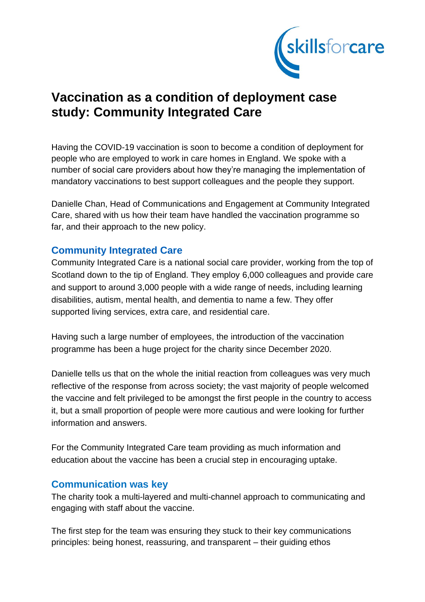

# **Vaccination as a condition of deployment case study: Community Integrated Care**

Having the COVID-19 vaccination is soon to become a condition of deployment for people who are employed to work in care homes in England. We spoke with a number of social care providers about how they're managing the implementation of mandatory vaccinations to best support colleagues and the people they support.

Danielle Chan, Head of Communications and Engagement at Community Integrated Care, shared with us how their team have handled the vaccination programme so far, and their approach to the new policy.

## **Community Integrated Care**

Community Integrated Care is a national social care provider, working from the top of Scotland down to the tip of England. They employ 6,000 colleagues and provide care and support to around 3,000 people with a wide range of needs, including learning disabilities, autism, mental health, and dementia to name a few. They offer supported living services, extra care, and residential care.

Having such a large number of employees, the introduction of the vaccination programme has been a huge project for the charity since December 2020.

Danielle tells us that on the whole the initial reaction from colleagues was very much reflective of the response from across society; the vast majority of people welcomed the vaccine and felt privileged to be amongst the first people in the country to access it, but a small proportion of people were more cautious and were looking for further information and answers.

For the Community Integrated Care team providing as much information and education about the vaccine has been a crucial step in encouraging uptake.

#### **Communication was key**

The charity took a multi-layered and multi-channel approach to communicating and engaging with staff about the vaccine.

The first step for the team was ensuring they stuck to their key communications principles: being honest, reassuring, and transparent – their guiding ethos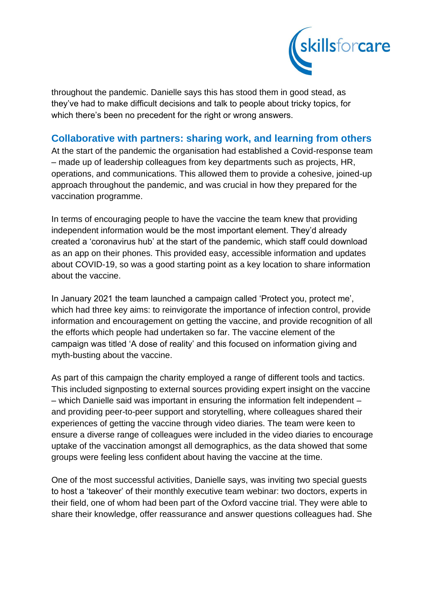

throughout the pandemic. Danielle says this has stood them in good stead, as they've had to make difficult decisions and talk to people about tricky topics, for which there's been no precedent for the right or wrong answers.

#### **Collaborative with partners: sharing work, and learning from others**

At the start of the pandemic the organisation had established a Covid-response team – made up of leadership colleagues from key departments such as projects, HR, operations, and communications. This allowed them to provide a cohesive, joined-up approach throughout the pandemic, and was crucial in how they prepared for the vaccination programme.

In terms of encouraging people to have the vaccine the team knew that providing independent information would be the most important element. They'd already created a 'coronavirus hub' at the start of the pandemic, which staff could download as an app on their phones. This provided easy, accessible information and updates about COVID-19, so was a good starting point as a key location to share information about the vaccine.

In January 2021 the team launched a campaign called 'Protect you, protect me', which had three key aims: to reinvigorate the importance of infection control, provide information and encouragement on getting the vaccine, and provide recognition of all the efforts which people had undertaken so far. The vaccine element of the campaign was titled 'A dose of reality' and this focused on information giving and myth-busting about the vaccine.

As part of this campaign the charity employed a range of different tools and tactics. This included signposting to external sources providing expert insight on the vaccine – which Danielle said was important in ensuring the information felt independent – and providing peer-to-peer support and storytelling, where colleagues shared their experiences of getting the vaccine through video diaries. The team were keen to ensure a diverse range of colleagues were included in the video diaries to encourage uptake of the vaccination amongst all demographics, as the data showed that some groups were feeling less confident about having the vaccine at the time.

One of the most successful activities, Danielle says, was inviting two special guests to host a 'takeover' of their monthly executive team webinar: two doctors, experts in their field, one of whom had been part of the Oxford vaccine trial. They were able to share their knowledge, offer reassurance and answer questions colleagues had. She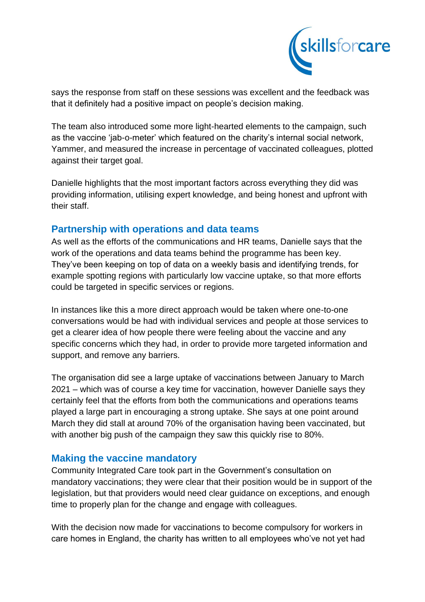

says the response from staff on these sessions was excellent and the feedback was that it definitely had a positive impact on people's decision making.

The team also introduced some more light-hearted elements to the campaign, such as the vaccine 'jab-o-meter' which featured on the charity's internal social network, Yammer, and measured the increase in percentage of vaccinated colleagues, plotted against their target goal.

Danielle highlights that the most important factors across everything they did was providing information, utilising expert knowledge, and being honest and upfront with their staff.

## **Partnership with operations and data teams**

As well as the efforts of the communications and HR teams, Danielle says that the work of the operations and data teams behind the programme has been key. They've been keeping on top of data on a weekly basis and identifying trends, for example spotting regions with particularly low vaccine uptake, so that more efforts could be targeted in specific services or regions.

In instances like this a more direct approach would be taken where one-to-one conversations would be had with individual services and people at those services to get a clearer idea of how people there were feeling about the vaccine and any specific concerns which they had, in order to provide more targeted information and support, and remove any barriers.

The organisation did see a large uptake of vaccinations between January to March 2021 – which was of course a key time for vaccination, however Danielle says they certainly feel that the efforts from both the communications and operations teams played a large part in encouraging a strong uptake. She says at one point around March they did stall at around 70% of the organisation having been vaccinated, but with another big push of the campaign they saw this quickly rise to 80%.

# **Making the vaccine mandatory**

Community Integrated Care took part in the Government's consultation on mandatory vaccinations; they were clear that their position would be in support of the legislation, but that providers would need clear guidance on exceptions, and enough time to properly plan for the change and engage with colleagues.

With the decision now made for vaccinations to become compulsory for workers in care homes in England, the charity has written to all employees who've not yet had